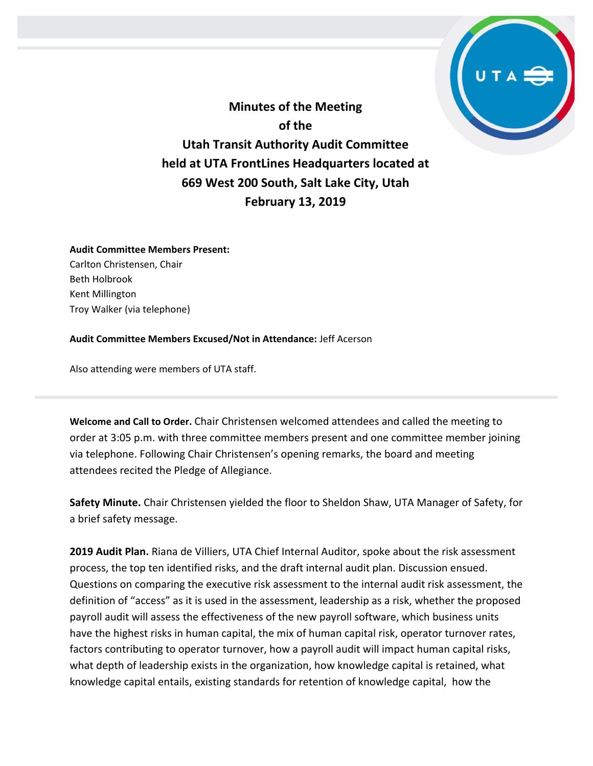

**Minutes of the Meeting of the Utah Transit Authority Audit Committee held at UTA FrontLines Headquarters located at 669 West 200 South, Salt Lake City, Utah February 13, 2019**

## **Audit Committee Members Present:**

Carlton Christensen, Chair Beth Holbrook Kent Millington Troy Walker (via telephone)

## **Audit Committee Members Excused/Not in Attendance:** Jeff Acerson

Also attending were members of UTA staff.

**Welcome and Call to Order.** Chair Christensen welcomed attendees and called the meeting to order at 3:05 p.m. with three committee members present and one committee member joining via telephone. Following Chair Christensen's opening remarks, the board and meeting attendees recited the Pledge of Allegiance.

**Safety Minute.** Chair Christensen yielded the floor to Sheldon Shaw, UTA Manager of Safety, for a brief safety message.

**2019 Audit Plan.** Riana de Villiers, UTA Chief Internal Auditor, spoke about the risk assessment process, the top ten identified risks, and the draft internal audit plan. Discussion ensued. Questions on comparing the executive risk assessment to the internal audit risk assessment, the definition of "access" as it is used in the assessment, leadership as a risk, whether the proposed payroll audit will assess the effectiveness of the new payroll software, which business units have the highest risks in human capital, the mix of human capital risk, operator turnover rates, factors contributing to operator turnover, how a payroll audit will impact human capital risks, what depth of leadership exists in the organization, how knowledge capital is retained, what knowledge capital entails, existing standards for retention of knowledge capital, how the